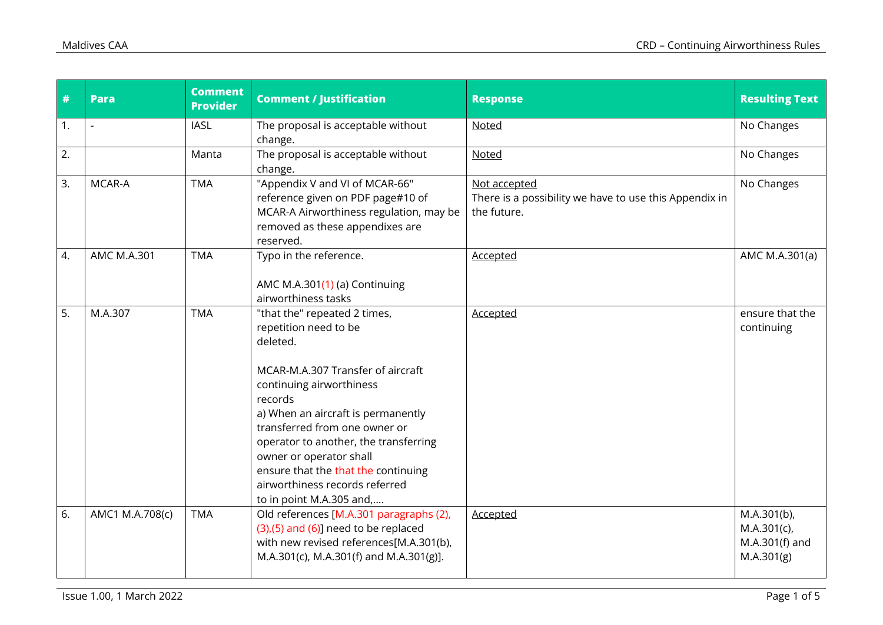| #  | <b>Para</b>     | <b>Comment</b><br><b>Provider</b> | <b>Comment / Justification</b>                                                                                                                                                                                                                                                                                                                                                                | <b>Response</b>                                                                       | <b>Resulting Text</b>                                            |
|----|-----------------|-----------------------------------|-----------------------------------------------------------------------------------------------------------------------------------------------------------------------------------------------------------------------------------------------------------------------------------------------------------------------------------------------------------------------------------------------|---------------------------------------------------------------------------------------|------------------------------------------------------------------|
| 1. |                 | <b>IASL</b>                       | The proposal is acceptable without<br>change.                                                                                                                                                                                                                                                                                                                                                 | Noted                                                                                 | No Changes                                                       |
| 2. |                 | Manta                             | The proposal is acceptable without<br>change.                                                                                                                                                                                                                                                                                                                                                 | Noted                                                                                 | No Changes                                                       |
| 3. | MCAR-A          | <b>TMA</b>                        | "Appendix V and VI of MCAR-66"<br>reference given on PDF page#10 of<br>MCAR-A Airworthiness regulation, may be<br>removed as these appendixes are<br>reserved.                                                                                                                                                                                                                                | Not accepted<br>There is a possibility we have to use this Appendix in<br>the future. | No Changes                                                       |
| 4. | AMC M.A.301     | <b>TMA</b>                        | Typo in the reference.<br>AMC M.A.301(1) (a) Continuing<br>airworthiness tasks                                                                                                                                                                                                                                                                                                                | Accepted                                                                              | AMC M.A.301(a)                                                   |
| 5. | M.A.307         | <b>TMA</b>                        | "that the" repeated 2 times,<br>repetition need to be<br>deleted.<br>MCAR-M.A.307 Transfer of aircraft<br>continuing airworthiness<br>records<br>a) When an aircraft is permanently<br>transferred from one owner or<br>operator to another, the transferring<br>owner or operator shall<br>ensure that the that the continuing<br>airworthiness records referred<br>to in point M.A.305 and, | <b>Accepted</b>                                                                       | ensure that the<br>continuing                                    |
| 6. | AMC1 M.A.708(c) | <b>TMA</b>                        | Old references [M.A.301 paragraphs (2),<br>$(3)$ , $(5)$ and $(6)$ ] need to be replaced<br>with new revised references[M.A.301(b),<br>M.A.301(c), M.A.301(f) and M.A.301(g)].                                                                                                                                                                                                                | <b>Accepted</b>                                                                       | $M.A.301(b)$ ,<br>$M.A.301(c)$ ,<br>M.A.301(f) and<br>M.A.301(g) |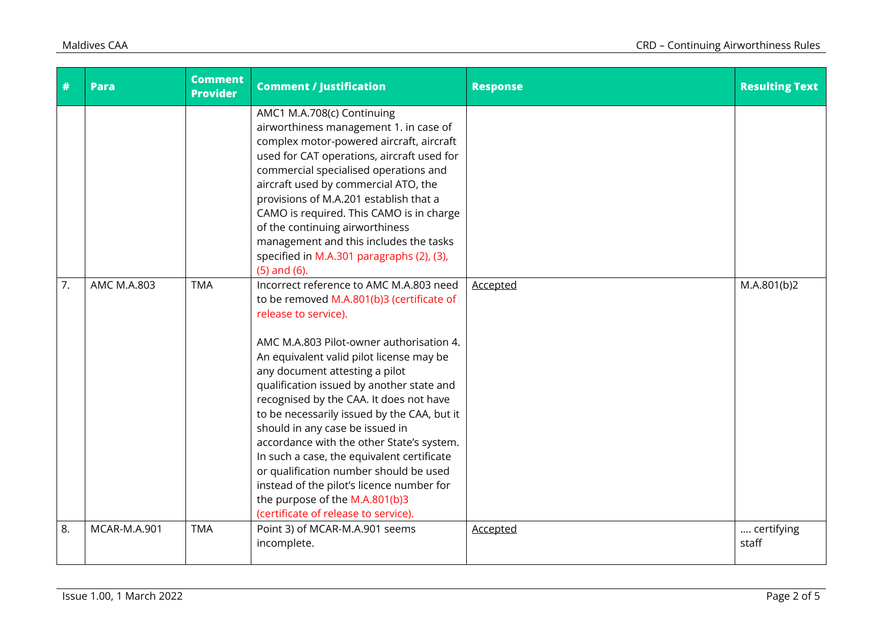| #  | <b>Para</b>         | <b>Comment</b><br><b>Provider</b> | <b>Comment / Justification</b>                                                                                                                                                                                                                                                                                                                                                                                                                                                                                                                                                                                                                                               | <b>Response</b> | <b>Resulting Text</b> |
|----|---------------------|-----------------------------------|------------------------------------------------------------------------------------------------------------------------------------------------------------------------------------------------------------------------------------------------------------------------------------------------------------------------------------------------------------------------------------------------------------------------------------------------------------------------------------------------------------------------------------------------------------------------------------------------------------------------------------------------------------------------------|-----------------|-----------------------|
|    |                     |                                   | AMC1 M.A.708(c) Continuing<br>airworthiness management 1. in case of<br>complex motor-powered aircraft, aircraft<br>used for CAT operations, aircraft used for<br>commercial specialised operations and<br>aircraft used by commercial ATO, the<br>provisions of M.A.201 establish that a<br>CAMO is required. This CAMO is in charge<br>of the continuing airworthiness<br>management and this includes the tasks<br>specified in M.A.301 paragraphs (2), (3),<br>$(5)$ and $(6)$ .                                                                                                                                                                                         |                 |                       |
| 7. | AMC M.A.803         | <b>TMA</b>                        | Incorrect reference to AMC M.A.803 need<br>to be removed M.A.801(b)3 (certificate of<br>release to service).<br>AMC M.A.803 Pilot-owner authorisation 4.<br>An equivalent valid pilot license may be<br>any document attesting a pilot<br>qualification issued by another state and<br>recognised by the CAA. It does not have<br>to be necessarily issued by the CAA, but it<br>should in any case be issued in<br>accordance with the other State's system.<br>In such a case, the equivalent certificate<br>or qualification number should be used<br>instead of the pilot's licence number for<br>the purpose of the M.A.801(b)3<br>(certificate of release to service). | <b>Accepted</b> | M.A.801(b)2           |
| 8. | <b>MCAR-M.A.901</b> | <b>TMA</b>                        | Point 3) of MCAR-M.A.901 seems<br>incomplete.                                                                                                                                                                                                                                                                                                                                                                                                                                                                                                                                                                                                                                | Accepted        | certifying<br>staff   |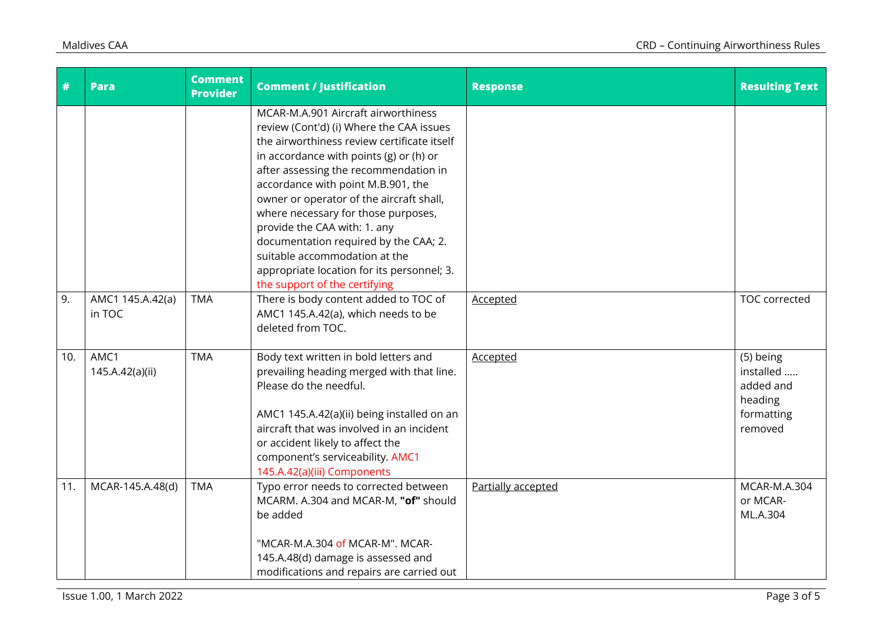| $\overline{t}$ | <b>Para</b>                | <b>Comment</b><br><b>Provider</b> | <b>Comment / Justification</b>                                                                                                                                                                                                                                                                                                                                                                                                                                                                                                           | <b>Response</b>    | <b>Resulting Text</b>                                                   |
|----------------|----------------------------|-----------------------------------|------------------------------------------------------------------------------------------------------------------------------------------------------------------------------------------------------------------------------------------------------------------------------------------------------------------------------------------------------------------------------------------------------------------------------------------------------------------------------------------------------------------------------------------|--------------------|-------------------------------------------------------------------------|
|                |                            |                                   | MCAR-M.A.901 Aircraft airworthiness<br>review (Cont'd) (i) Where the CAA issues<br>the airworthiness review certificate itself<br>in accordance with points $(g)$ or $(h)$ or<br>after assessing the recommendation in<br>accordance with point M.B.901, the<br>owner or operator of the aircraft shall,<br>where necessary for those purposes,<br>provide the CAA with: 1. any<br>documentation required by the CAA; 2.<br>suitable accommodation at the<br>appropriate location for its personnel; 3.<br>the support of the certifying |                    |                                                                         |
| 9.             | AMC1 145.A.42(a)<br>in TOC | <b>TMA</b>                        | There is body content added to TOC of<br>AMC1 145.A.42(a), which needs to be<br>deleted from TOC.                                                                                                                                                                                                                                                                                                                                                                                                                                        | Accepted           | <b>TOC</b> corrected                                                    |
| 10.            | AMC1<br>145.A.42(a)(ii)    | <b>TMA</b>                        | Body text written in bold letters and<br>prevailing heading merged with that line.<br>Please do the needful.<br>AMC1 145.A.42(a)(ii) being installed on an<br>aircraft that was involved in an incident<br>or accident likely to affect the<br>component's serviceability. AMC1<br>145.A.42(a)(iii) Components                                                                                                                                                                                                                           | Accepted           | (5) being<br>installed<br>added and<br>heading<br>formatting<br>removed |
| 11.            | MCAR-145.A.48(d)           | <b>TMA</b>                        | Typo error needs to corrected between<br>MCARM. A.304 and MCAR-M, "of" should<br>be added<br>"MCAR-M.A.304 of MCAR-M". MCAR-<br>145.A.48(d) damage is assessed and<br>modifications and repairs are carried out                                                                                                                                                                                                                                                                                                                          | Partially accepted | MCAR-M.A.304<br>or MCAR-<br>ML.A.304                                    |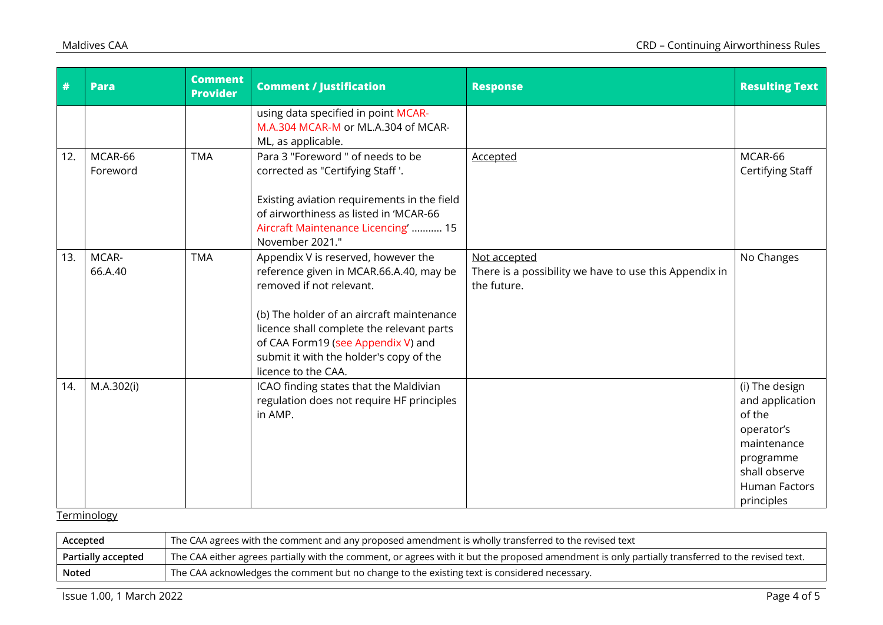| $\overline{\boldsymbol{r}}$ | <b>Para</b>         | <b>Comment</b><br><b>Provider</b> | <b>Comment / Justification</b>                                                                                                                                                                                                                                                                               | <b>Response</b>                                                                       | <b>Resulting Text</b>                                                                                                                 |
|-----------------------------|---------------------|-----------------------------------|--------------------------------------------------------------------------------------------------------------------------------------------------------------------------------------------------------------------------------------------------------------------------------------------------------------|---------------------------------------------------------------------------------------|---------------------------------------------------------------------------------------------------------------------------------------|
|                             |                     |                                   | using data specified in point MCAR-<br>M.A.304 MCAR-M or ML.A.304 of MCAR-<br>ML, as applicable.                                                                                                                                                                                                             |                                                                                       |                                                                                                                                       |
| 12.                         | MCAR-66<br>Foreword | <b>TMA</b>                        | Para 3 "Foreword " of needs to be<br>corrected as "Certifying Staff '.                                                                                                                                                                                                                                       | Accepted                                                                              | MCAR-66<br>Certifying Staff                                                                                                           |
|                             |                     |                                   | Existing aviation requirements in the field<br>of airworthiness as listed in 'MCAR-66<br>Aircraft Maintenance Licencing'  15<br>November 2021."                                                                                                                                                              |                                                                                       |                                                                                                                                       |
| 13.                         | MCAR-<br>66.A.40    | <b>TMA</b>                        | Appendix V is reserved, however the<br>reference given in MCAR.66.A.40, may be<br>removed if not relevant.<br>(b) The holder of an aircraft maintenance<br>licence shall complete the relevant parts<br>of CAA Form19 (see Appendix V) and<br>submit it with the holder's copy of the<br>licence to the CAA. | Not accepted<br>There is a possibility we have to use this Appendix in<br>the future. | No Changes                                                                                                                            |
| 14.                         | M.A.302(i)          |                                   | ICAO finding states that the Maldivian<br>regulation does not require HF principles<br>in AMP.                                                                                                                                                                                                               |                                                                                       | (i) The design<br>and application<br>of the<br>operator's<br>maintenance<br>programme<br>shall observe<br>Human Factors<br>principles |

## **Terminology**

| Accepted           | The CAA agrees with the comment and any proposed amendment is wholly transferred to the revised text                                              |
|--------------------|---------------------------------------------------------------------------------------------------------------------------------------------------|
| Partially accepted | The CAA either agrees partially with the comment, or agrees with it but the proposed amendment is only partially transferred to the revised text. |
| Noted              | The CAA acknowledges the comment but no change to the existing text is considered necessary.                                                      |